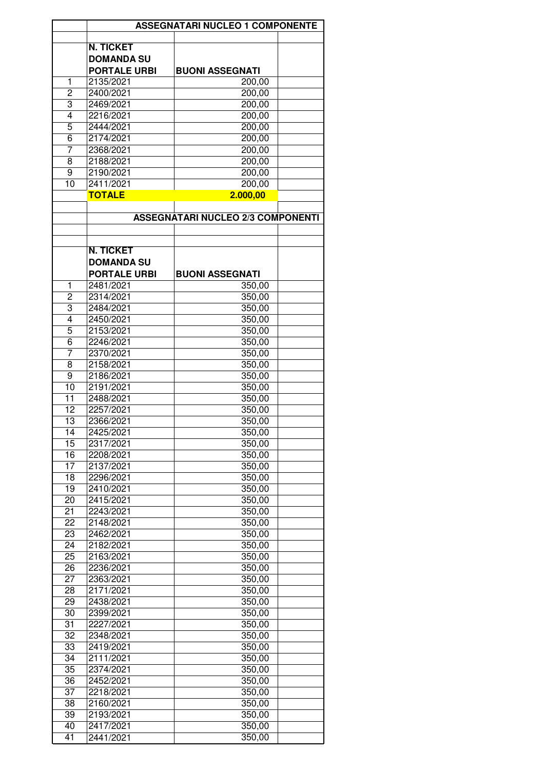|                | <b>ASSEGNATARI NUCLEO 1 COMPONENTE</b>   |                        |  |  |  |
|----------------|------------------------------------------|------------------------|--|--|--|
|                |                                          |                        |  |  |  |
|                | <b>N. TICKET</b>                         |                        |  |  |  |
|                | <b>DOMANDA SU</b>                        |                        |  |  |  |
|                | <b>PORTALE URBI</b>                      | <b>BUONI ASSEGNATI</b> |  |  |  |
|                |                                          |                        |  |  |  |
| 1              | 2135/2021                                | 200,00                 |  |  |  |
| 2              | 2400/2021                                | 200,00                 |  |  |  |
| 3              | 2469/2021                                | 200,00                 |  |  |  |
| 4              | 2216/2021                                | 200,00                 |  |  |  |
| 5              | 2444/2021                                | 200,00                 |  |  |  |
| 6              | 2174/2021                                | 200,00                 |  |  |  |
| 7              | 2368/2021                                | 200,00                 |  |  |  |
| 8              | 2188/2021                                | 200,00                 |  |  |  |
|                |                                          |                        |  |  |  |
| 9              | 2190/2021                                | 200,00                 |  |  |  |
| 10             | 2411/2021                                | 200,00                 |  |  |  |
|                | <b>TOTALE</b>                            | 2.000,00               |  |  |  |
|                |                                          |                        |  |  |  |
|                | <b>ASSEGNATARI NUCLEO 2/3 COMPONENTI</b> |                        |  |  |  |
|                |                                          |                        |  |  |  |
|                |                                          |                        |  |  |  |
|                | <b>N. TICKET</b>                         |                        |  |  |  |
|                |                                          |                        |  |  |  |
|                | <b>DOMANDA SU</b>                        |                        |  |  |  |
|                | <b>PORTALE URBI</b>                      | <b>BUONI ASSEGNATI</b> |  |  |  |
| 1              | 2481/2021                                | 350,00                 |  |  |  |
| $\overline{c}$ | 2314/2021                                | 350,00                 |  |  |  |
| 3              | 2484/2021                                | 350,00                 |  |  |  |
| 4              | 2450/2021                                | 350,00                 |  |  |  |
|                |                                          |                        |  |  |  |
| 5              | 2153/2021                                | 350,00                 |  |  |  |
| $\overline{6}$ | 2246/2021                                | 350,00                 |  |  |  |
| 7              | 2370/2021                                | 350,00                 |  |  |  |
| 8              | 2158/2021                                | 350,00                 |  |  |  |
| 9              | 2186/2021                                | 350,00                 |  |  |  |
| 10             | 2191/2021                                | 350,00                 |  |  |  |
| 11             | 2488/2021                                | 350,00                 |  |  |  |
| 12             |                                          |                        |  |  |  |
|                | 2257/2021                                | 350,00                 |  |  |  |
| 13             | 2366/2021                                | 350,00                 |  |  |  |
| 14             | 2425/2021                                | 350,00                 |  |  |  |
| 15             | 2317/2021                                | 350,00                 |  |  |  |
| 16             | 2208/2021                                | 350,00                 |  |  |  |
| 17             | 2137/2021                                | 350,00                 |  |  |  |
| 18             | 2296/2021                                | 350,00                 |  |  |  |
| 19             | 2410/2021                                | 350,00                 |  |  |  |
| 20             | 2415/2021                                | 350,00                 |  |  |  |
|                |                                          |                        |  |  |  |
| 21             | 2243/2021                                | 350,00                 |  |  |  |
| 22             | 2148/2021                                | 350,00                 |  |  |  |
| 23             | 2462/2021                                | 350,00                 |  |  |  |
| 24             | 2182/2021                                | 350,00                 |  |  |  |
| 25             | 2163/2021                                | 350,00                 |  |  |  |
| 26             | 2236/2021                                | 350,00                 |  |  |  |
| 27             | 2363/2021                                | 350,00                 |  |  |  |
| 28             | 2171/2021                                |                        |  |  |  |
|                |                                          | 350,00                 |  |  |  |
| 29             | 2438/2021                                | 350,00                 |  |  |  |
| 30             | 2399/2021                                | 350,00                 |  |  |  |
| 31             | 2227/2021                                | 350,00                 |  |  |  |
| 32             | 2348/2021                                | 350,00                 |  |  |  |
| 33             | 2419/2021                                | 350,00                 |  |  |  |
| 34             | 2111/2021                                | 350,00                 |  |  |  |
| 35             | 2374/2021                                | 350,00                 |  |  |  |
|                |                                          |                        |  |  |  |
| 36             | 2452/2021                                | 350,00                 |  |  |  |
| 37             | 2218/2021                                | 350,00                 |  |  |  |
| 38             | 2160/2021                                | 350,00                 |  |  |  |
| 39             | 2193/2021                                | 350,00                 |  |  |  |
| 40             | 2417/2021                                | 350,00                 |  |  |  |
| 41             | 2441/2021                                | 350,00                 |  |  |  |